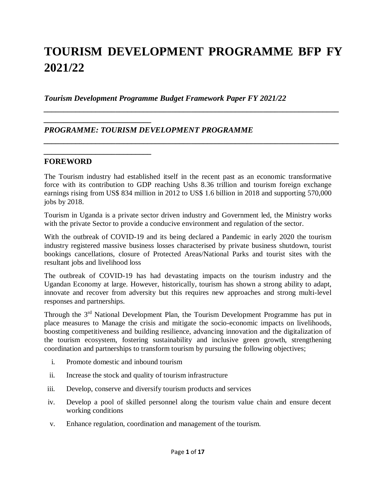# **TOURISM DEVELOPMENT PROGRAMME BFP FY 2021/22**

*\_\_\_\_\_\_\_\_\_\_\_\_\_\_\_\_\_\_\_\_\_\_\_\_\_\_\_\_\_\_\_\_\_\_\_\_\_\_\_\_\_\_\_\_\_\_\_\_\_\_\_\_\_\_\_\_\_\_\_\_\_\_\_\_\_\_\_\_\_\_\_\_\_\_*

*\_\_\_\_\_\_\_\_\_\_\_\_\_\_\_\_\_\_\_\_\_\_\_\_\_\_\_\_\_\_\_\_\_\_\_\_\_\_\_\_\_\_\_\_\_\_\_\_\_\_\_\_\_\_\_\_\_\_\_\_\_\_\_\_\_\_\_\_\_\_\_\_\_\_*

*Tourism Development Programme Budget Framework Paper FY 2021/22*

## *PROGRAMME: TOURISM DEVELOPMENT PROGRAMME*

#### **FOREWORD**

*\_\_\_\_\_\_\_\_\_\_\_\_\_\_\_\_\_\_\_\_\_\_\_\_\_\_\_*

*\_\_\_\_\_\_\_\_\_\_\_\_\_\_\_\_\_\_\_\_\_\_\_\_\_\_\_*

The Tourism industry had established itself in the recent past as an economic transformative force with its contribution to GDP reaching Ushs 8.36 trillion and tourism foreign exchange earnings rising from US\$ 834 million in 2012 to US\$ 1.6 billion in 2018 and supporting 570,000 jobs by 2018.

Tourism in Uganda is a private sector driven industry and Government led, the Ministry works with the private Sector to provide a conducive environment and regulation of the sector.

With the outbreak of COVID-19 and its being declared a Pandemic in early 2020 the tourism industry registered massive business losses characterised by private business shutdown, tourist bookings cancellations, closure of Protected Areas/National Parks and tourist sites with the resultant jobs and livelihood loss

The outbreak of COVID-19 has had devastating impacts on the tourism industry and the Ugandan Economy at large. However, historically, tourism has shown a strong ability to adapt, innovate and recover from adversity but this requires new approaches and strong multi-level responses and partnerships.

Through the 3<sup>rd</sup> National Development Plan, the Tourism Development Programme has put in place measures to Manage the crisis and mitigate the socio-economic impacts on livelihoods, boosting competitiveness and building resilience, advancing innovation and the digitalization of the tourism ecosystem, fostering sustainability and inclusive green growth, strengthening coordination and partnerships to transform tourism by pursuing the following objectives;

- i. Promote domestic and inbound tourism
- ii. Increase the stock and quality of tourism infrastructure
- iii. Develop, conserve and diversify tourism products and services
- iv. Develop a pool of skilled personnel along the tourism value chain and ensure decent working conditions
- v. Enhance regulation, coordination and management of the tourism.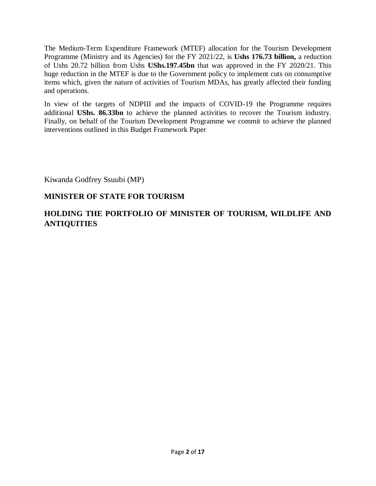The Medium-Term Expenditure Framework (MTEF) allocation for the Tourism Development Programme (Ministry and its Agencies) for the FY 2021/22, is **Ushs 176.73 billion,** a reduction of Ushs 20.72 billion from Ushs **UShs.197.45bn** that was approved in the FY 2020/21. This huge reduction in the MTEF is due to the Government policy to implement cuts on consumptive items which, given the nature of activities of Tourism MDAs, has greatly affected their funding and operations.

In view of the targets of NDPIII and the impacts of COVID-19 the Programme requires additional **UShs. 86.33bn** to achieve the planned activities to recover the Tourism industry. Finally, on behalf of the Tourism Development Programme we commit to achieve the planned interventions outlined in this Budget Framework Paper

Kiwanda Godfrey Ssuubi (MP)

## **MINISTER OF STATE FOR TOURISM**

## **HOLDING THE PORTFOLIO OF MINISTER OF TOURISM, WILDLIFE AND ANTIQUITIES**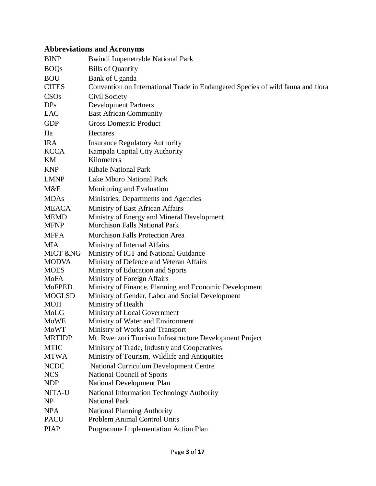## **Abbreviations and Acronyms**

| <b>BINP</b>   | <b>Bwindi Impenetrable National Park</b>                                        |
|---------------|---------------------------------------------------------------------------------|
| <b>BOQs</b>   | <b>Bills of Quantity</b>                                                        |
| <b>BOU</b>    | Bank of Uganda                                                                  |
| <b>CITES</b>  | Convention on International Trade in Endangered Species of wild fauna and flora |
| CSOs          | Civil Society                                                                   |
| <b>DPs</b>    | <b>Development Partners</b>                                                     |
| EAC           | <b>East African Community</b>                                                   |
| <b>GDP</b>    | <b>Gross Domestic Product</b>                                                   |
| Ha            | Hectares                                                                        |
| <b>IRA</b>    | <b>Insurance Regulatory Authority</b>                                           |
| <b>KCCA</b>   | Kampala Capital City Authority                                                  |
| KM            | Kilometers                                                                      |
| <b>KNP</b>    | <b>Kibale National Park</b>                                                     |
| <b>LMNP</b>   | Lake Mburo National Park                                                        |
| M&E           | Monitoring and Evaluation                                                       |
| <b>MDAs</b>   | Ministries, Departments and Agencies                                            |
| <b>MEACA</b>  | Ministry of East African Affairs                                                |
| <b>MEMD</b>   | Ministry of Energy and Mineral Development                                      |
| <b>MFNP</b>   | <b>Murchison Falls National Park</b>                                            |
| <b>MFPA</b>   | <b>Murchison Falls Protection Area</b>                                          |
| <b>MIA</b>    | Ministry of Internal Affairs                                                    |
| MICT &NG      | Ministry of ICT and National Guidance                                           |
| <b>MODVA</b>  | Ministry of Defence and Veteran Affairs                                         |
| <b>MOES</b>   | Ministry of Education and Sports                                                |
| MoFA          | Ministry of Foreign Affairs                                                     |
| <b>MoFPED</b> | Ministry of Finance, Planning and Economic Development                          |
| <b>MOGLSD</b> | Ministry of Gender, Labor and Social Development                                |
| <b>MOH</b>    | Ministry of Health                                                              |
| MoLG          | Ministry of Local Government                                                    |
| <b>MoWE</b>   | Ministry of Water and Environment                                               |
| <b>MoWT</b>   | Ministry of Works and Transport                                                 |
| <b>MRTIDP</b> | Mt. Rwenzori Tourism Infrastructure Development Project                         |
| <b>MTIC</b>   | Ministry of Trade, Industry and Cooperatives                                    |
| <b>MTWA</b>   | Ministry of Tourism, Wildlife and Antiquities                                   |
| <b>NCDC</b>   | <b>National Curriculum Development Centre</b>                                   |
| <b>NCS</b>    | <b>National Council of Sports</b>                                               |
| <b>NDP</b>    | <b>National Development Plan</b>                                                |
| NITA-U        | <b>National Information Technology Authority</b>                                |
| <b>NP</b>     | <b>National Park</b>                                                            |
| <b>NPA</b>    | <b>National Planning Authority</b>                                              |
| <b>PACU</b>   | <b>Problem Animal Control Units</b>                                             |
| <b>PIAP</b>   | Programme Implementation Action Plan                                            |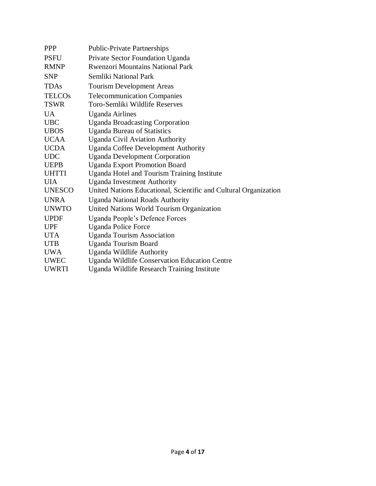| <b>PPP</b>    | <b>Public-Private Partnerships</b>                               |
|---------------|------------------------------------------------------------------|
| <b>PSFU</b>   | Private Sector Foundation Uganda                                 |
| <b>RMNP</b>   | <b>Rwenzori Mountains National Park</b>                          |
| <b>SNP</b>    | Semliki National Park                                            |
| <b>TDAs</b>   | <b>Tourism Development Areas</b>                                 |
| <b>TELCOs</b> | <b>Telecommunication Companies</b>                               |
| <b>TSWR</b>   | Toro-Semliki Wildlife Reserves                                   |
| <b>UA</b>     | <b>Uganda Airlines</b>                                           |
| <b>UBC</b>    | <b>Uganda Broadcasting Corporation</b>                           |
| <b>UBOS</b>   | <b>Uganda Bureau of Statistics</b>                               |
| <b>UCAA</b>   | <b>Uganda Civil Aviation Authority</b>                           |
| <b>UCDA</b>   | <b>Uganda Coffee Development Authority</b>                       |
| <b>UDC</b>    | <b>Uganda Development Corporation</b>                            |
| <b>UEPB</b>   | <b>Uganda Export Promotion Board</b>                             |
| <b>UHTTI</b>  | Uganda Hotel and Tourism Training Institute                      |
| <b>UIA</b>    | <b>Uganda Investment Authority</b>                               |
| <b>UNESCO</b> | United Nations Educational, Scientific and Cultural Organization |
| <b>UNRA</b>   | <b>Uganda National Roads Authority</b>                           |
| <b>UNWTO</b>  | United Nations World Tourism Organization                        |
| <b>UPDF</b>   | Uganda People's Defence Forces                                   |
| <b>UPF</b>    | <b>Uganda Police Force</b>                                       |
| <b>UTA</b>    | <b>Uganda Tourism Association</b>                                |
| <b>UTB</b>    | <b>Uganda Tourism Board</b>                                      |
| <b>UWA</b>    | Uganda Wildlife Authority                                        |
| <b>UWEC</b>   | <b>Uganda Wildlife Conservation Education Centre</b>             |
| <b>UWRTI</b>  | Uganda Wildlife Research Training Institute                      |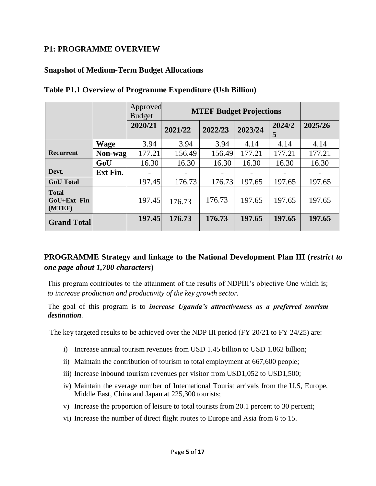#### **P1: PROGRAMME OVERVIEW**

#### **Snapshot of Medium-Term Budget Allocations**

|                                       |             | Approved<br><b>Budget</b> |         | <b>MTEF Budget Projections</b> |         |             |         |  |  |  |  |
|---------------------------------------|-------------|---------------------------|---------|--------------------------------|---------|-------------|---------|--|--|--|--|
|                                       |             | 2020/21                   | 2021/22 | 2022/23                        | 2023/24 | 2024/2<br>5 | 2025/26 |  |  |  |  |
|                                       | <b>Wage</b> | 3.94                      | 3.94    | 3.94                           | 4.14    | 4.14        | 4.14    |  |  |  |  |
| <b>Recurrent</b>                      | Non-wag     | 177.21                    | 156.49  | 156.49                         | 177.21  | 177.21      | 177.21  |  |  |  |  |
|                                       | GoU         | 16.30                     | 16.30   | 16.30                          | 16.30   | 16.30       | 16.30   |  |  |  |  |
| Devt.                                 | Ext Fin.    |                           |         |                                |         |             |         |  |  |  |  |
| <b>GoU</b> Total                      |             | 197.45                    | 176.73  | 176.73                         | 197.65  | 197.65      | 197.65  |  |  |  |  |
| <b>Total</b><br>GoU+Ext Fin<br>(MTEF) |             | 197.45                    | 176.73  | 176.73                         | 197.65  | 197.65      | 197.65  |  |  |  |  |
| <b>Grand Total</b>                    |             | 197.45                    | 176.73  | 176.73                         | 197.65  | 197.65      | 197.65  |  |  |  |  |

#### **Table P1.1 Overview of Programme Expenditure (Ush Billion)**

## **PROGRAMME Strategy and linkage to the National Development Plan III (***restrict to one page about 1,700 characters***)**

This program contributes to the attainment of the results of NDPIII's objective One which is; *to increase production and productivity of the key growth sector.*

The goal of this program is to *increase Uganda's attractiveness as a preferred tourism destination.*

The key targeted results to be achieved over the NDP III period (FY 20/21 to FY 24/25) are:

- i) Increase annual tourism revenues from USD 1.45 billion to USD 1.862 billion;
- ii) Maintain the contribution of tourism to total employment at 667,600 people;
- iii) Increase inbound tourism revenues per visitor from USD1,052 to USD1,500;
- iv) Maintain the average number of International Tourist arrivals from the U.S, Europe, Middle East, China and Japan at 225,300 tourists;
- v) Increase the proportion of leisure to total tourists from 20.1 percent to 30 percent;
- vi) Increase the number of direct flight routes to Europe and Asia from 6 to 15.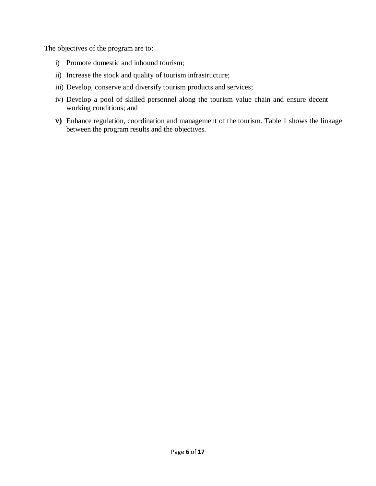The objectives of the program are to:

- i) Promote domestic and inbound tourism;
- ii) Increase the stock and quality of tourism infrastructure;
- iii) Develop, conserve and diversify tourism products and services;
- iv) Develop a pool of skilled personnel along the tourism value chain and ensure decent working conditions; and
- **v)** Enhance regulation, coordination and management of the tourism. Table 1 shows the linkage between the program results and the objectives.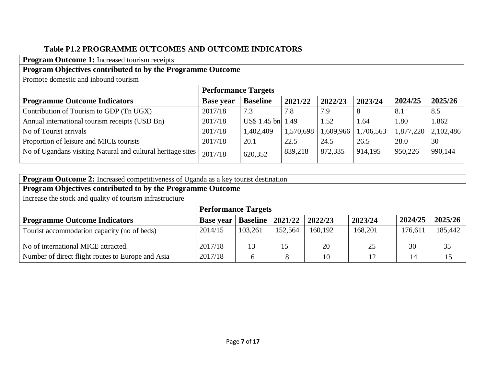## **Table P1.2 PROGRAMME OUTCOMES AND OUTCOME INDICATORS**

**Program Outcome 1:** Increased tourism receipts

## **Program Objectives contributed to by the Programme Outcome**

Promote domestic and inbound tourism

|                                                             | <b>Performance Targets</b> |                   |           |           |           |           |           |
|-------------------------------------------------------------|----------------------------|-------------------|-----------|-----------|-----------|-----------|-----------|
| <b>Programme Outcome Indicators</b>                         | <b>Base year</b>           | <b>Baseline</b>   | 2021/22   | 2022/23   | 2023/24   | 2024/25   | 2025/26   |
| Contribution of Tourism to GDP (Tn UGX)                     | 2017/18                    | 7.3               | 7.8       | 7.9       |           | 8.1       | 8.5       |
| Annual international tourism receipts (USD Bn)              | 2017/18                    | US\$ 1.45 bn 1.49 |           | 1.52      | 1.64      | 1.80      | 1.862     |
| No of Tourist arrivals                                      | 2017/18                    | 1,402,409         | 1,570,698 | 1,609,966 | 1,706,563 | 1,877,220 | 2,102,486 |
| Proportion of leisure and MICE tourists                     | 2017/18                    | 20.1              | 22.5      | 24.5      | 26.5      | 28.0      | 30        |
| No of Ugandans visiting Natural and cultural heritage sites | 2017/18                    | 620,352           | 839,218   | 872,335   | 914,195   | 950,226   | 990,144   |

| <b>Program Outcome 2:</b> Increased competitiveness of Uganda as a key tourist destination |                            |                 |         |         |         |         |         |  |  |
|--------------------------------------------------------------------------------------------|----------------------------|-----------------|---------|---------|---------|---------|---------|--|--|
| Program Objectives contributed to by the Programme Outcome                                 |                            |                 |         |         |         |         |         |  |  |
| Increase the stock and quality of tourism infrastructure                                   |                            |                 |         |         |         |         |         |  |  |
|                                                                                            | <b>Performance Targets</b> |                 |         |         |         |         |         |  |  |
| <b>Programme Outcome Indicators</b>                                                        | <b>Base year</b>           | <b>Baseline</b> | 2021/22 | 2022/23 | 2023/24 | 2024/25 | 2025/26 |  |  |
| Tourist accommodation capacity (no of beds)                                                | 2014/15                    | 103,261         | 152,564 | 160,192 | 168,201 | 176,611 | 185,442 |  |  |
| No of international MICE attracted.                                                        | 2017/18                    | 13              | 15      | 20      | 25      | 30      | 35      |  |  |
| Number of direct flight routes to Europe and Asia                                          | 2017/18                    |                 |         | 10      | 12      | 14      | 15      |  |  |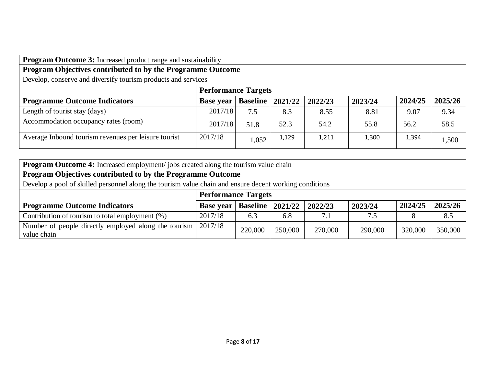**Program Outcome 3:** Increased product range and sustainability

# **Program Objectives contributed to by the Programme Outcome**

Develop, conserve and diversify tourism products and services

|                                                      |                  | <b>Performance Targets</b> |         |         |         |         |         |  |
|------------------------------------------------------|------------------|----------------------------|---------|---------|---------|---------|---------|--|
| <b>Programme Outcome Indicators</b>                  | <b>Base year</b> | <b>Baseline</b>            | 2021/22 | 2022/23 | 2023/24 | 2024/25 | 2025/26 |  |
| Length of tourist stay (days)                        | 2017/18          | 7.5                        | 8.3     | 8.55    | 8.81    | 9.07    | 9.34    |  |
| Accommodation occupancy rates (room)                 | 2017/18          | 51.8                       | 52.3    | 54.2    | 55.8    | 56.2    | 58.5    |  |
| Average Inbound tourism revenues per leisure tourist | 2017/18          | 1,052                      | 1,129   | 1,211   | 1,300   | 1,394   | 1,500   |  |

**Program Outcome 4:** Increased employment/ jobs created along the tourism value chain

## **Program Objectives contributed to by the Programme Outcome**

Develop a pool of skilled personnel along the tourism value chain and ensure decent working conditions

|                                                                       |                  | <b>Performance Targets</b> |         |         |         |         |         |  |  |
|-----------------------------------------------------------------------|------------------|----------------------------|---------|---------|---------|---------|---------|--|--|
| <b>Programme Outcome Indicators</b>                                   | <b>Base year</b> | <b>Baseline</b>   2021/22  |         | 2022/23 | 2023/24 | 2024/25 | 2025/26 |  |  |
| Contribution of tourism to total employment $(\%)$                    | 2017/18          | 6.3                        | 6.8     | 7.1     | 7.5     |         | 8.5     |  |  |
| Number of people directly employed along the tourism  <br>value chain | 2017/18          | 220,000                    | 250,000 | 270,000 | 290,000 | 320,000 | 350,000 |  |  |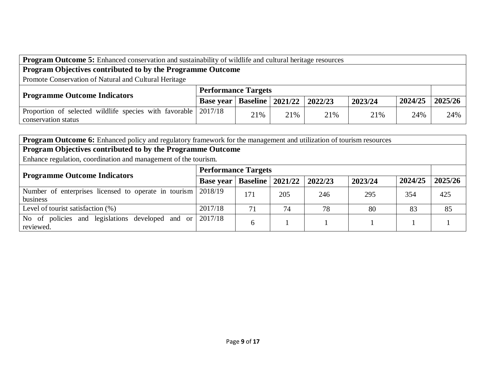| <b>Program Outcome 5:</b> Enhanced conservation and sustainability of wildlife and cultural heritage resources |                            |                              |     |     |         |         |         |  |  |
|----------------------------------------------------------------------------------------------------------------|----------------------------|------------------------------|-----|-----|---------|---------|---------|--|--|
| Program Objectives contributed to by the Programme Outcome                                                     |                            |                              |     |     |         |         |         |  |  |
| Promote Conservation of Natural and Cultural Heritage                                                          |                            |                              |     |     |         |         |         |  |  |
| <b>Programme Outcome Indicators</b>                                                                            | <b>Performance Targets</b> |                              |     |     |         |         |         |  |  |
|                                                                                                                | <b>Base year</b>           | Baseline   2021/22   2022/23 |     |     | 2023/24 | 2024/25 | 2025/26 |  |  |
| Proportion of selected wildlife species with favorable 2017/18<br>conservation status                          |                            | 21%                          | 21% | 21% | 21%     | 24%     | 24%     |  |  |

|                                                                          | <b>Program Outcome 6:</b> Enhanced policy and regulatory framework for the management and utilization of tourism resources |                 |         |         |         |         |         |  |  |  |  |
|--------------------------------------------------------------------------|----------------------------------------------------------------------------------------------------------------------------|-----------------|---------|---------|---------|---------|---------|--|--|--|--|
| Program Objectives contributed to by the Programme Outcome               |                                                                                                                            |                 |         |         |         |         |         |  |  |  |  |
| Enhance regulation, coordination and management of the tourism.          |                                                                                                                            |                 |         |         |         |         |         |  |  |  |  |
|                                                                          | <b>Performance Targets</b>                                                                                                 |                 |         |         |         |         |         |  |  |  |  |
| <b>Programme Outcome Indicators</b>                                      | <b>Base year</b>                                                                                                           | <b>Baseline</b> | 2021/22 | 2022/23 | 2023/24 | 2024/25 | 2025/26 |  |  |  |  |
| Number of enterprises licensed to operate in tourism 2018/19<br>business |                                                                                                                            | 171             | 205     | 246     | 295     | 354     | 425     |  |  |  |  |
| Level of tourist satisfaction $(\%)$                                     | 2017/18                                                                                                                    | 71              | 74      | 78      | 80      | 83      | 85      |  |  |  |  |
| policies and legislations developed and or<br>No.<br>of<br>reviewed.     | 2017/18                                                                                                                    | 6               |         |         |         |         |         |  |  |  |  |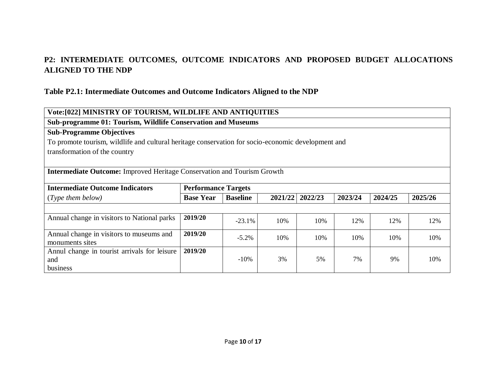## **P2: INTERMEDIATE OUTCOMES, OUTCOME INDICATORS AND PROPOSED BUDGET ALLOCATIONS ALIGNED TO THE NDP**

#### **Table P2.1: Intermediate Outcomes and Outcome Indicators Aligned to the NDP**

| Vote:[022] MINISTRY OF TOURISM, WILDLIFE AND ANTIQUITIES                                           |                            |                 |         |         |         |         |         |  |  |  |
|----------------------------------------------------------------------------------------------------|----------------------------|-----------------|---------|---------|---------|---------|---------|--|--|--|
| Sub-programme 01: Tourism, Wildlife Conservation and Museums                                       |                            |                 |         |         |         |         |         |  |  |  |
| <b>Sub-Programme Objectives</b>                                                                    |                            |                 |         |         |         |         |         |  |  |  |
| To promote tourism, wildlife and cultural heritage conservation for socio-economic development and |                            |                 |         |         |         |         |         |  |  |  |
| transformation of the country                                                                      |                            |                 |         |         |         |         |         |  |  |  |
|                                                                                                    |                            |                 |         |         |         |         |         |  |  |  |
| <b>Intermediate Outcome:</b> Improved Heritage Conservation and Tourism Growth                     |                            |                 |         |         |         |         |         |  |  |  |
|                                                                                                    |                            |                 |         |         |         |         |         |  |  |  |
| <b>Intermediate Outcome Indicators</b>                                                             | <b>Performance Targets</b> |                 |         |         |         |         |         |  |  |  |
| (Type them below)                                                                                  | <b>Base Year</b>           | <b>Baseline</b> | 2021/22 | 2022/23 | 2023/24 | 2024/25 | 2025/26 |  |  |  |
|                                                                                                    |                            |                 |         |         |         |         |         |  |  |  |
| Annual change in visitors to National parks                                                        | 2019/20                    | $-23.1\%$       | 10%     | 10%     | 12%     | 12%     | 12%     |  |  |  |
|                                                                                                    |                            |                 |         |         |         |         |         |  |  |  |
| Annual change in visitors to museums and                                                           | 2019/20                    | $-5.2\%$        | 10%     | 10%     | 10%     | 10%     | 10%     |  |  |  |
| monuments sites                                                                                    |                            |                 |         |         |         |         |         |  |  |  |
| Annul change in tourist arrivals for leisure                                                       | 2019/20                    |                 |         |         |         |         |         |  |  |  |
| and                                                                                                |                            | $-10%$          | 3%      | 5%      | 7%      | 9%      | 10%     |  |  |  |
| business                                                                                           |                            |                 |         |         |         |         |         |  |  |  |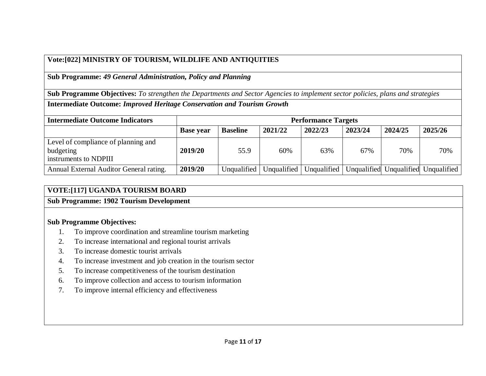## **Vote:[022] MINISTRY OF TOURISM, WILDLIFE AND ANTIQUITIES**

**Sub Programme:** *49 General Administration, Policy and Planning*

**Sub Programme Objectives:** *To strengthen the Departments and Sector Agencies to implement sector policies, plans and strategies*

**Intermediate Outcome:** *Improved Heritage Conservation and Tourism Growth*

| <b>Intermediate Outcome Indicators</b>                                    | <b>Performance Targets</b> |                 |             |             |         |         |                                     |  |  |  |
|---------------------------------------------------------------------------|----------------------------|-----------------|-------------|-------------|---------|---------|-------------------------------------|--|--|--|
|                                                                           | <b>Base year</b>           | <b>Baseline</b> | 2021/22     | 2022/23     | 2023/24 | 2024/25 | 2025/26                             |  |  |  |
| Level of compliance of planning and<br>budgeting<br>instruments to NDPIII | 2019/20                    | 55.9            | 60%         | 63%         | 67%     | 70%     | 70%                                 |  |  |  |
| Annual External Auditor General rating.                                   | 2019/20                    | Unqualified     | Unqualified | Unqualified |         |         | Unqualified Unqualified Unqualified |  |  |  |

#### **VOTE:[117] UGANDA TOURISM BOARD**

#### **Sub Programme: 1902 Tourism Development**

#### **Sub Programme Objectives:**

- 1. To improve coordination and streamline tourism marketing
- 2. To increase international and regional tourist arrivals
- 3. To increase domestic tourist arrivals
- 4. To increase investment and job creation in the tourism sector
- 5. To increase competitiveness of the tourism destination
- 6. To improve collection and access to tourism information
- 7. To improve internal efficiency and effectiveness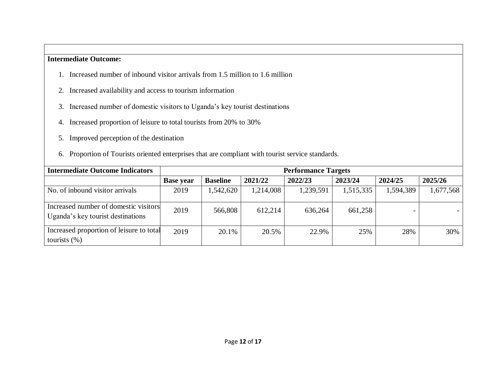#### **Intermediate Outcome:**

- 1. Increased number of inbound visitor arrivals from 1.5 million to 1.6 million
- 2. Increased availability and access to tourism information
- 3. Increased number of domestic visitors to Uganda's key tourist destinations
- 4. Increased proportion of leisure to total tourists from 20% to 30%
- 5. Improved perception of the destination
- 6. Proportion of Tourists oriented enterprises that are compliant with tourist service standards.

| <b>Intermediate Outcome Indicators</b>                                     |                  | <b>Performance Targets</b> |           |           |           |           |           |  |  |  |  |
|----------------------------------------------------------------------------|------------------|----------------------------|-----------|-----------|-----------|-----------|-----------|--|--|--|--|
|                                                                            | <b>Base year</b> | <b>Baseline</b>            | 2021/22   | 2022/23   | 2023/24   | 2024/25   | 2025/26   |  |  |  |  |
| No. of inbound visitor arrivals                                            | 2019             | 1,542,620                  | 1,214,008 | 1,239,591 | 1,515,335 | 1,594,389 | 1,677,568 |  |  |  |  |
| Increased number of domestic visitors<br>Uganda's key tourist destinations | 2019             | 566,808                    | 612,214   | 636,264   | 661,258   |           |           |  |  |  |  |
| Increased proportion of leisure to total<br>tourists $(\%)$                | 2019             | 20.1%                      | 20.5%     | 22.9%     | 25%       | 28%       | 30%       |  |  |  |  |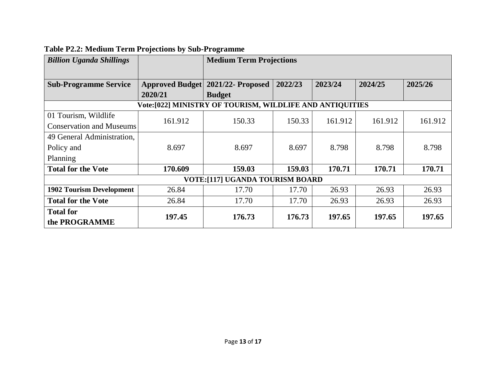| <b>Billion Uganda Shillings</b>                          |                        | <b>Medium Term Projections</b> |         |         |         |         |  |  |
|----------------------------------------------------------|------------------------|--------------------------------|---------|---------|---------|---------|--|--|
|                                                          |                        |                                |         |         |         |         |  |  |
| <b>Sub-Programme Service</b>                             | <b>Approved Budget</b> | 2021/22- Proposed              | 2022/23 | 2023/24 | 2024/25 | 2025/26 |  |  |
|                                                          | 2020/21                | <b>Budget</b>                  |         |         |         |         |  |  |
| Vote:[022] MINISTRY OF TOURISM, WILDLIFE AND ANTIQUITIES |                        |                                |         |         |         |         |  |  |
| 01 Tourism, Wildlife                                     | 161.912                | 150.33                         |         |         |         | 161.912 |  |  |
| <b>Conservation and Museums</b>                          |                        |                                | 150.33  | 161.912 | 161.912 |         |  |  |
| 49 General Administration,                               |                        |                                |         |         |         |         |  |  |
| Policy and                                               | 8.697                  | 8.697                          | 8.697   | 8.798   | 8.798   | 8.798   |  |  |
| Planning                                                 |                        |                                |         |         |         |         |  |  |
| <b>Total for the Vote</b>                                | 170.609                | 159.03                         | 159.03  | 170.71  | 170.71  | 170.71  |  |  |
| <b>VOTE:[117] UGANDA TOURISM BOARD</b>                   |                        |                                |         |         |         |         |  |  |
| <b>1902 Tourism Development</b>                          | 26.84                  | 17.70                          | 17.70   | 26.93   | 26.93   | 26.93   |  |  |
| <b>Total for the Vote</b>                                | 26.84                  | 17.70                          | 17.70   | 26.93   | 26.93   | 26.93   |  |  |
| <b>Total for</b><br>the PROGRAMME                        | 197.45                 | 176.73                         | 176.73  | 197.65  | 197.65  | 197.65  |  |  |

# **Table P2.2: Medium Term Projections by Sub-Programme**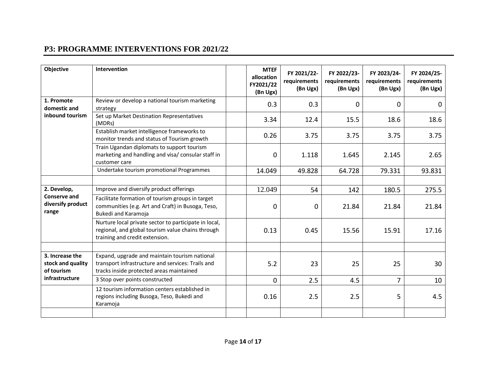## **P3: PROGRAMME INTERVENTIONS FOR 2021/22**

| Objective                                                            | Intervention                                                                                                                                   | <b>MTEF</b><br>allocation<br>FY2021/22<br>(Bn Ugx) | FY 2021/22-<br>requirements<br>(Bn Ugx) | FY 2022/23-<br>requirements<br>(Bn Ugx) | FY 2023/24-<br>requirements<br>(Bn Ugx) | FY 2024/25-<br>requirements<br>(Bn Ugx) |
|----------------------------------------------------------------------|------------------------------------------------------------------------------------------------------------------------------------------------|----------------------------------------------------|-----------------------------------------|-----------------------------------------|-----------------------------------------|-----------------------------------------|
| 1. Promote<br>domestic and<br>inbound tourism                        | Review or develop a national tourism marketing<br>strategy                                                                                     | 0.3                                                | 0.3                                     | 0                                       | 0                                       | 0                                       |
|                                                                      | Set up Market Destination Representatives<br>(MDRs)                                                                                            | 3.34                                               | 12.4                                    | 15.5                                    | 18.6                                    | 18.6                                    |
|                                                                      | Establish market intelligence frameworks to<br>monitor trends and status of Tourism growth                                                     | 0.26                                               | 3.75                                    | 3.75                                    | 3.75                                    | 3.75                                    |
|                                                                      | Train Ugandan diplomats to support tourism<br>marketing and handling and visa/ consular staff in<br>customer care                              | 0                                                  | 1.118                                   | 1.645                                   | 2.145                                   | 2.65                                    |
|                                                                      | Undertake tourism promotional Programmes                                                                                                       | 14.049                                             | 49.828                                  | 64.728                                  | 79.331                                  | 93.831                                  |
|                                                                      |                                                                                                                                                |                                                    |                                         |                                         |                                         |                                         |
| 2. Develop,<br>Conserve and<br>diversify product<br>range            | Improve and diversify product offerings                                                                                                        | 12.049                                             | 54                                      | 142                                     | 180.5                                   | 275.5                                   |
|                                                                      | Facilitate formation of tourism groups in target<br>communities (e.g. Art and Craft) in Busoga, Teso,<br>Bukedi and Karamoja                   | 0                                                  | 0                                       | 21.84                                   | 21.84                                   | 21.84                                   |
|                                                                      | Nurture local private sector to participate in local,<br>regional, and global tourism value chains through<br>training and credit extension.   | 0.13                                               | 0.45                                    | 15.56                                   | 15.91                                   | 17.16                                   |
|                                                                      |                                                                                                                                                |                                                    |                                         |                                         |                                         |                                         |
| 3. Increase the<br>stock and quality<br>of tourism<br>infrastructure | Expand, upgrade and maintain tourism national<br>transport infrastructure and services: Trails and<br>tracks inside protected areas maintained | 5.2                                                | 23                                      | 25                                      | 25                                      | 30                                      |
|                                                                      | 3 Stop over points constructed                                                                                                                 | 0                                                  | 2.5                                     | 4.5                                     | $\overline{7}$                          | 10                                      |
|                                                                      | 12 tourism information centers established in<br>regions including Busoga, Teso, Bukedi and<br>Karamoja                                        | 0.16                                               | 2.5                                     | 2.5                                     | 5                                       | 4.5                                     |
|                                                                      |                                                                                                                                                |                                                    |                                         |                                         |                                         |                                         |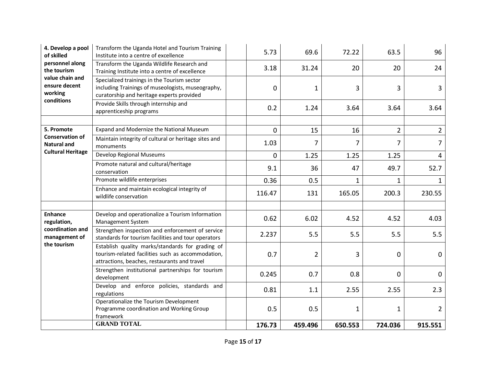| 4. Develop a pool<br>of skilled<br>personnel along<br>the tourism<br>value chain and<br>ensure decent<br>working<br>conditions | Transform the Uganda Hotel and Tourism Training<br>Institute into a centre of excellence                                                              | 5.73   | 69.6           | 72.22        | 63.5        | 96             |
|--------------------------------------------------------------------------------------------------------------------------------|-------------------------------------------------------------------------------------------------------------------------------------------------------|--------|----------------|--------------|-------------|----------------|
|                                                                                                                                | Transform the Uganda Wildlife Research and<br>Training Institute into a centre of excellence                                                          | 3.18   | 31.24          | 20           | 20          | 24             |
|                                                                                                                                | Specialized trainings in the Tourism sector<br>including Trainings of museologists, museography,<br>curatorship and heritage experts provided         | 0      | $\mathbf{1}$   | 3            | 3           | 3              |
|                                                                                                                                | Provide Skills through internship and<br>apprenticeship programs                                                                                      | 0.2    | 1.24           | 3.64         | 3.64        | 3.64           |
|                                                                                                                                |                                                                                                                                                       |        |                |              |             |                |
| 5. Promote                                                                                                                     | Expand and Modernize the National Museum                                                                                                              | 0      | 15             | 16           | $2^{\circ}$ | $\overline{2}$ |
| <b>Conservation of</b><br><b>Natural and</b><br><b>Cultural Heritage</b>                                                       | Maintain integrity of cultural or heritage sites and<br>monuments                                                                                     | 1.03   | 7              | 7            | 7           | 7              |
|                                                                                                                                | Develop Regional Museums                                                                                                                              | 0      | 1.25           | 1.25         | 1.25        | 4              |
|                                                                                                                                | Promote natural and cultural/heritage<br>conservation                                                                                                 | 9.1    | 36             | 47           | 49.7        | 52.7           |
|                                                                                                                                | Promote wildlife enterprises                                                                                                                          | 0.36   | 0.5            | $\mathbf{1}$ | $\mathbf 1$ | 1              |
|                                                                                                                                | Enhance and maintain ecological integrity of<br>wildlife conservation                                                                                 | 116.47 | 131            | 165.05       | 200.3       | 230.55         |
|                                                                                                                                |                                                                                                                                                       |        |                |              |             |                |
| <b>Enhance</b><br>regulation,<br>coordination and<br>management of<br>the tourism                                              | Develop and operationalize a Tourism Information<br>Management System                                                                                 | 0.62   | 6.02           | 4.52         | 4.52        | 4.03           |
|                                                                                                                                | Strengthen inspection and enforcement of service<br>standards for tourism facilities and tour operators                                               | 2.237  | 5.5            | 5.5          | 5.5         | 5.5            |
|                                                                                                                                | Establish quality marks/standards for grading of<br>tourism-related facilities such as accommodation,<br>attractions, beaches, restaurants and travel | 0.7    | $\overline{2}$ | 3            | $\mathbf 0$ | 0              |
|                                                                                                                                | Strengthen institutional partnerships for tourism<br>development                                                                                      | 0.245  | 0.7            | 0.8          | $\mathbf 0$ | $\mathbf 0$    |
|                                                                                                                                | Develop and enforce policies, standards and<br>regulations                                                                                            | 0.81   | 1.1            | 2.55         | 2.55        | 2.3            |
|                                                                                                                                | Operationalize the Tourism Development<br>Programme coordination and Working Group<br>framework                                                       | 0.5    | 0.5            | $\mathbf 1$  | 1           | $\overline{2}$ |
|                                                                                                                                | <b>GRAND TOTAL</b>                                                                                                                                    | 176.73 | 459.496        | 650.553      | 724.036     | 915.551        |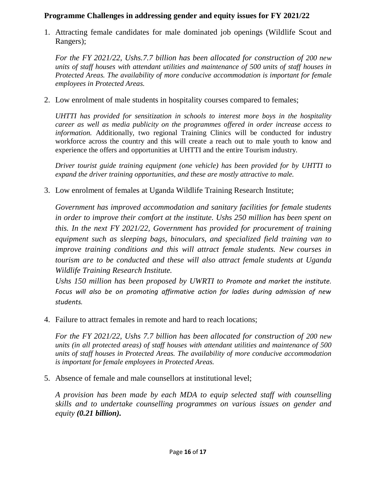#### **Programme Challenges in addressing gender and equity issues for FY 2021/22**

1. Attracting female candidates for male dominated job openings (Wildlife Scout and Rangers);

*For the FY 2021/22, Ushs.7.7 billion has been allocated for construction of 200 new units of staff houses with attendant utilities and maintenance of 500 units of staff houses in Protected Areas. The availability of more conducive accommodation is important for female employees in Protected Areas.* 

2. Low enrolment of male students in hospitality courses compared to females;

*UHTTI has provided for sensitization in schools to interest more boys in the hospitality career as well as media publicity on the programmes offered in order increase access to information.* Additionally, two regional Training Clinics will be conducted for industry workforce across the country and this will create a reach out to male youth to know and experience the offers and opportunities at UHTTI and the entire Tourism industry.

*Driver tourist guide training equipment (one vehicle) has been provided for by UHTTI to expand the driver training opportunities, and these are mostly attractive to male.* 

3. Low enrolment of females at Uganda Wildlife Training Research Institute;

*Government has improved accommodation and sanitary facilities for female students in order to improve their comfort at the institute. Ushs 250 million has been spent on this. In the next FY 2021/22, Government has provided for procurement of training equipment such as sleeping bags, binoculars, and specialized field training van to improve training conditions and this will attract female students. New courses in tourism are to be conducted and these will also attract female students at Uganda Wildlife Training Research Institute.*

*Ushs 150 million has been proposed by UWRTI to Promote and market the institute. Focus will also be on promoting affirmative action for ladies during admission of new students.*

4. Failure to attract females in remote and hard to reach locations;

*For the FY 2021/22, Ushs 7.7 billion has been allocated for construction of 200 new units (in all protected areas) of staff houses with attendant utilities and maintenance of 500 units of staff houses in Protected Areas. The availability of more conducive accommodation is important for female employees in Protected Areas.* 

5. Absence of female and male counsellors at institutional level;

*A provision has been made by each MDA to equip selected staff with counselling skills and to undertake counselling programmes on various issues on gender and equity (0.21 billion).*